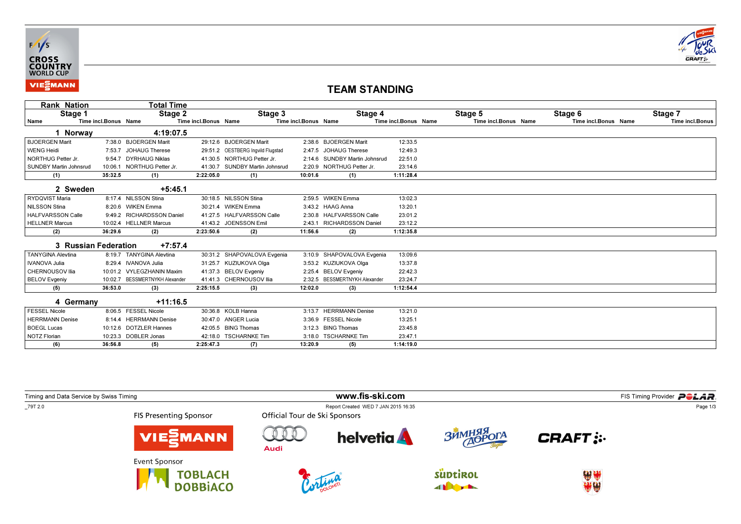



## TEAM STANDING

| <b>Rank Nation</b>            |                      | Total Time                     |                      |                                   |                      |                               |                      |                      |                      |                 |
|-------------------------------|----------------------|--------------------------------|----------------------|-----------------------------------|----------------------|-------------------------------|----------------------|----------------------|----------------------|-----------------|
| Stage 1                       |                      | Stage 2                        |                      | Stage 3                           |                      | Stage 4                       |                      | Stage 5              | Stage 6              | Stage 7         |
| Name                          | Time incl.Bonus Name |                                | Time incl.Bonus Name |                                   | Time incl.Bonus Name |                               | Time incl.Bonus Name | Time incl.Bonus Name | Time incl.Bonus Name | Time incl.Bonus |
| 1 Norway                      |                      | 4:19:07.5                      |                      |                                   |                      |                               |                      |                      |                      |                 |
| <b>BJOERGEN Marit</b>         |                      | 7:38.0 BJOERGEN Marit          |                      | 29:12.6 BJOERGEN Marit            |                      | 2:38.6 BJOERGEN Marit         | 12:33.5              |                      |                      |                 |
| <b>WENG Heidi</b>             |                      | 7:53.7 JOHAUG Therese          |                      | 29:51.2 OESTBERG Ingvild Flugstad |                      | 2:47.5 JOHAUG Therese         | 12:49.3              |                      |                      |                 |
| NORTHUG Petter Jr.            |                      | 9:54.7 DYRHAUG Niklas          |                      | 41:30.5 NORTHUG Petter Jr.        |                      | 2:14.6 SUNDBY Martin Johnsrud | 22:51.0              |                      |                      |                 |
| <b>SUNDBY Martin Johnsrud</b> | 10:06.1              | NORTHUG Petter Jr.             |                      | 41:30.7 SUNDBY Martin Johnsrud    |                      | 2:20.9 NORTHUG Petter Jr.     | 23:14.6              |                      |                      |                 |
| (1)                           | 35:32.5              | (1)                            | 2:22:05.0            | (1)                               | 10:01.6              | (1)                           | 1:11:28.4            |                      |                      |                 |
| 2 Sweden                      |                      | $+5:45.1$                      |                      |                                   |                      |                               |                      |                      |                      |                 |
| RYDQVIST Maria                |                      | 8:17.4 NILSSON Stina           |                      | 30:18.5 NILSSON Stina             |                      | 2:59.5 WIKEN Emma             | 13:02.3              |                      |                      |                 |
| <b>NILSSON Stina</b>          |                      | 8:20.6 WIKEN Emma              |                      | 30:21.4 WIKEN Emma                |                      | 3:43.2 HAAG Anna              | 13:20.1              |                      |                      |                 |
| <b>HALFVARSSON Calle</b>      |                      | 9:49.2 RICHARDSSON Daniel      |                      | 41:27.5 HALFVARSSON Calle         |                      | 2:30.8 HALFVARSSON Calle      | 23:01.2              |                      |                      |                 |
| <b>HELLNER Marcus</b>         |                      | 10:02.4 HELLNER Marcus         |                      | 41:43.2 JOENSSON Emil             |                      | 2:43.1 RICHARDSSON Daniel     | 23:12.2              |                      |                      |                 |
| (2)                           | 36:29.6              | (2)                            | 2:23:50.6            | (2)                               | 11:56.6              | (2)                           | 1:12:35.8            |                      |                      |                 |
| 3 Russian Federation          |                      | $+7:57.4$                      |                      |                                   |                      |                               |                      |                      |                      |                 |
| <b>TANYGINA Alevtina</b>      |                      | 8:19.7 TANYGINA Alevtina       |                      | 30:31.2 SHAPOVALOVA Evgenia       |                      | 3:10.9 SHAPOVALOVA Evgenia    | 13:09.6              |                      |                      |                 |
| <b>IVANOVA Julia</b>          |                      | 8:29.4 IVANOVA Julia           |                      | 31:25.7 KUZIUKOVA Olga            |                      | 3:53.2 KUZIUKOVA Olga         | 13:37.8              |                      |                      |                 |
| CHERNOUSOV Ilia               |                      | 10:01.2 VYLEGZHANIN Maxim      |                      | 41:37.3 BELOV Evgeniv             |                      | 2:25.4 BELOV Evgeniy          | 22:42.3              |                      |                      |                 |
| <b>BELOV Evgeniy</b>          |                      | 10:02.7 BESSMERTNYKH Alexander |                      | 41:41.3 CHERNOUSOV Ilia           |                      | 2:32.5 BESSMERTNYKH Alexander | 23:24.7              |                      |                      |                 |
| (5)                           | 36:53.0              | (3)                            | 2:25:15.5            | (3)                               | 12:02.0              | (3)                           | 1:12:54.4            |                      |                      |                 |
| 4 Germany                     |                      | $+11:16.5$                     |                      |                                   |                      |                               |                      |                      |                      |                 |
| <b>FESSEL Nicole</b>          |                      | 8:06.5 FESSEL Nicole           |                      | 30:36.8 KOLB Hanna                | 3:13.7               | <b>HERRMANN Denise</b>        | 13:21.0              |                      |                      |                 |
| <b>HERRMANN Denise</b>        |                      | 8:14.4 HERRMANN Denise         |                      | 30:47.0 ANGER Lucia               |                      | 3:36.9 FESSEL Nicole          | 13:25.1              |                      |                      |                 |
| <b>BOEGL Lucas</b>            |                      | 10:12.6 DOTZLER Hannes         |                      | 42:05.5 BING Thomas               |                      | 3:12.3 BING Thomas            | 23:45.8              |                      |                      |                 |
| <b>NOTZ Florian</b>           |                      | 10:23.3 DOBLER Jonas           |                      | 42:18.0 TSCHARNKE Tim             |                      | 3:18.0 TSCHARNKE Tim          | 23:47.1              |                      |                      |                 |
| (6)                           | 36:56.8              | (5)                            | 2:25:47.3            | (7)                               | 13:20.9              | (5)                           | 1:14:19.0            |                      |                      |                 |

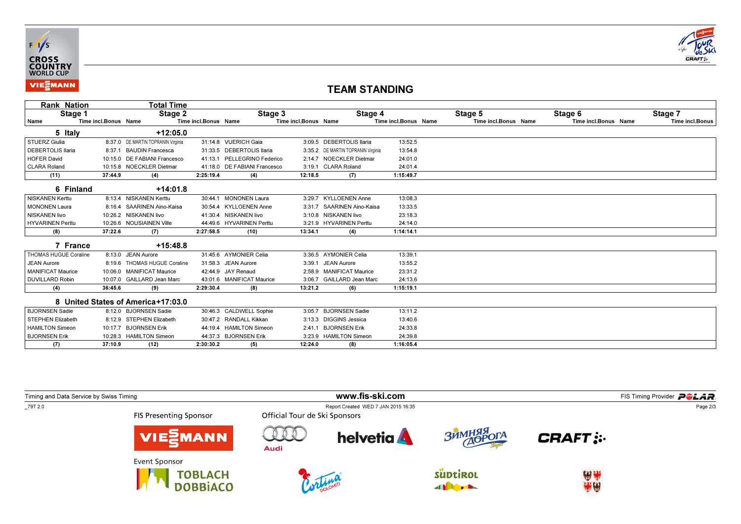



## TEAM STANDING

| Rank Nation              |                      | Total Time                         |                      |                              |                      |                                    |                      |                      |                      |                 |
|--------------------------|----------------------|------------------------------------|----------------------|------------------------------|----------------------|------------------------------------|----------------------|----------------------|----------------------|-----------------|
| Stage 1                  |                      | Stage 2                            |                      | Stage 3                      |                      | Stage 4                            |                      | Stage 5              | Stage 6              | Stage 7         |
| Name                     | Time incl.Bonus Name |                                    | Time incl.Bonus Name |                              | Time incl.Bonus Name |                                    | Time incl.Bonus Name | Time incl.Bonus Name | Time incl.Bonus Name | Time incl.Bonus |
| 5 Italy                  |                      | $+12:05.0$                         |                      |                              |                      |                                    |                      |                      |                      |                 |
| STUERZ Giulia            |                      | 8:37.0 DE MARTIN TOPRANIN Virginia |                      | 31:14.8 VUERICH Gaia         |                      | 3:09.5 DEBERTOLIS llaria           | 13:52.5              |                      |                      |                 |
| <b>DEBERTOLIS Ilaria</b> | 8:37.1               | <b>BAUDIN Francesca</b>            |                      | 31:33.5 DEBERTOLIS Ilaria    |                      | 3:35.2 DE MARTIN TOPRANIN Virginia | 13:54.8              |                      |                      |                 |
| <b>HOFER David</b>       |                      | 10:15.0 DE FABIANI Francesco       |                      | 41:13.1 PELLEGRINO Federico  |                      | 2:14.7 NOECKLER Dietman            | 24:01.0              |                      |                      |                 |
| <b>CLARA Roland</b>      |                      | 10:15.8 NOECKLER Dietmar           |                      | 41:18.0 DE FABIANI Francesco |                      | 3:19.1 CLARA Roland                | 24:01.4              |                      |                      |                 |
| (11)                     | 37:44.9              | (4)                                | 2:25:19.4            | (4)                          | 12:18.5              | (7)                                | 1:15:49.7            |                      |                      |                 |
| 6 Finland                |                      | $+14:01.8$                         |                      |                              |                      |                                    |                      |                      |                      |                 |
| <b>NISKANEN Kerttu</b>   |                      | 8:13.4 NISKANEN Kerttu             |                      | 30:44.1 MONONEN Laura        |                      | 3:29.7 KYLLOENEN Anne              | 13:08.3              |                      |                      |                 |
| <b>MONONEN Laura</b>     |                      | 8:16.4 SAARINEN Aino-Kaisa         |                      | 30:54.4 KYLLOENEN Anne       |                      | 3:31.7 SAARINEN Aino-Kaisa         | 13:33.5              |                      |                      |                 |
| <b>NISKANEN livo</b>     |                      | 10:26.2 NISKANEN livo              |                      | 41:30.4 NISKANEN livo        |                      | 3:10.8 NISKANEN livo               | 23:18.3              |                      |                      |                 |
| <b>HYVARINEN Perttu</b>  |                      | 10:26.6 NOUSIAINEN Ville           |                      | 44:49.6 HYVARINEN Perttu     |                      | 3:21.9 HYVARINEN Perttu            | 24:14.0              |                      |                      |                 |
| (8)                      | 37:22.6              | (7)                                | 2:27:58.5            | (10)                         | 13:34.1              | (4)                                | 1:14:14.1            |                      |                      |                 |
| 7 France                 |                      | $+15:48.8$                         |                      |                              |                      |                                    |                      |                      |                      |                 |
| THOMAS HUGUE Coraline    |                      | 8:13.0 JEAN Aurore                 |                      | 31:45.6 AYMONIER Celia       |                      | 3:36.5 AYMONIER Celia              | 13:39.1              |                      |                      |                 |
| <b>JEAN Aurore</b>       |                      | 8:19.6 THOMAS HUGUE Coraline       |                      | 31:58.3 JEAN Aurore          |                      | 3:39.1 JEAN Aurore                 | 13:55.2              |                      |                      |                 |
| <b>MANIFICAT Maurice</b> |                      | 10:06.0 MANIFICAT Maurice          |                      | 42:44.9 JAY Renaud           |                      | 2:58.9 MANIFICAT Maurice           | 23:31.2              |                      |                      |                 |
| <b>DUVILLARD Robin</b>   |                      | 10:07.0 GAILLARD Jean Marc         |                      | 43:01.6 MANIFICAT Maurice    |                      | 3:06.7 GAILLARD Jean Marc          | 24:13.6              |                      |                      |                 |
| (4)                      | 36:45.6              | (9)                                | 2:29:30.4            | (8)                          | 13:21.2              | (6)                                | 1:15:19.1            |                      |                      |                 |
|                          |                      | 8 United States of America+17:03.0 |                      |                              |                      |                                    |                      |                      |                      |                 |
| <b>BJORNSEN Sadie</b>    |                      | 8:12.0 BJORNSEN Sadie              |                      | 30:46.3 CALDWELL Sophie      | 3:05.7               | <b>BJORNSEN Sadie</b>              | 13:11.2              |                      |                      |                 |
| <b>STEPHEN Elizabeth</b> |                      | 8:12.9 STEPHEN Elizabeth           |                      | 30:47.2 RANDALL Kikkan       |                      | 3:13.3 DIGGINS Jessica             | 13:40.6              |                      |                      |                 |
| <b>HAMILTON Simeon</b>   |                      | 10:17.7 BJORNSEN Erik              |                      | 44:19.4 HAMILTON Simeon      | 2:41.1               | <b>BJORNSEN Erik</b>               | 24:33.8              |                      |                      |                 |
| <b>BJORNSEN Erik</b>     |                      | 10:28.3 HAMILTON Simeon            |                      | 44:37.3 BJORNSEN Erik        |                      | 3:23.9 HAMILTON Simeon             | 24:39.8              |                      |                      |                 |
| (7)                      | 37:10.9              | (12)                               | 2:30:30.2            | (5)                          | 12:24.0              | (8)                                | 1:16:05.4            |                      |                      |                 |